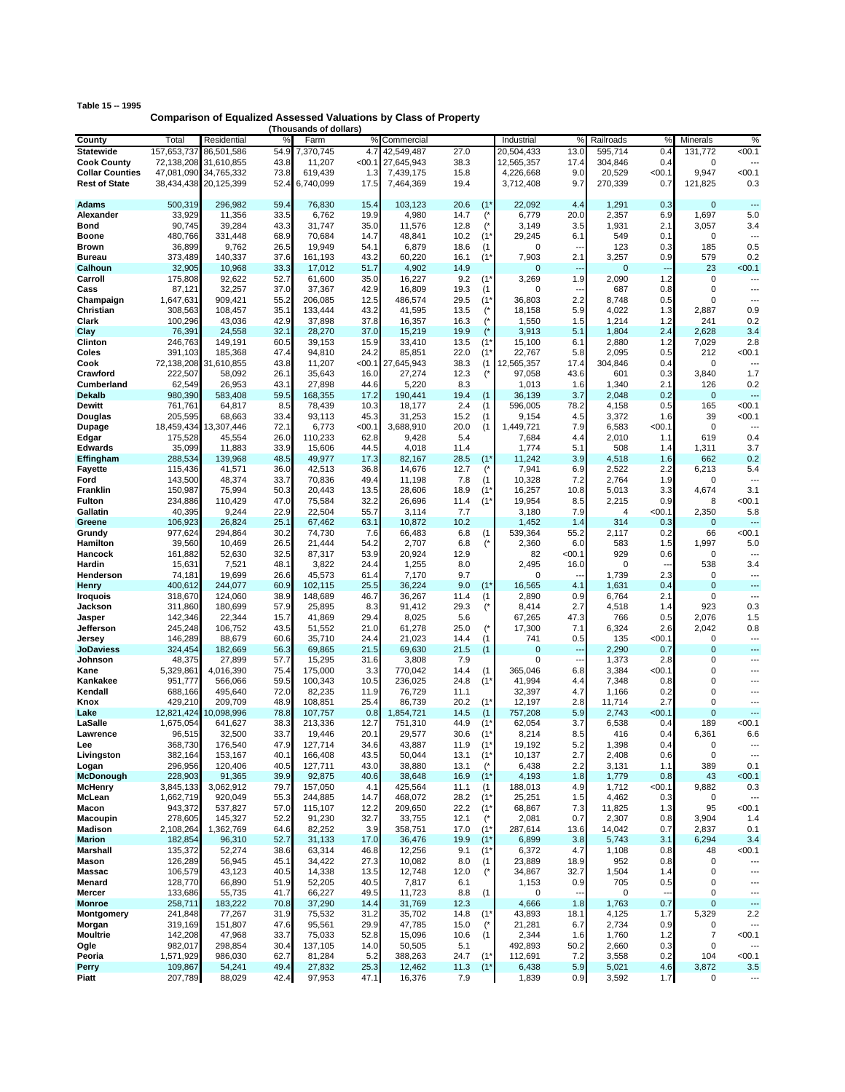| Comparison of Equiptional Approach Value |  |
|------------------------------------------|--|
| Table 15 -- 1995                         |  |
|                                          |  |

| Comparison of Equalized Assessed Valuations by Class of Property<br>(Thousands of dollars) |                      |                       |              |                    |              |                    |              |                  |                       |                               |                      |                          |                             |                          |
|--------------------------------------------------------------------------------------------|----------------------|-----------------------|--------------|--------------------|--------------|--------------------|--------------|------------------|-----------------------|-------------------------------|----------------------|--------------------------|-----------------------------|--------------------------|
| County                                                                                     | Total                | Residential           |              | Farm               | $\%$         | Commercial         |              |                  | Industrial            | %                             | Railroads            | $\frac{9}{6}$            | Minerals                    | %                        |
| <b>Statewide</b>                                                                           | 157,653,737          | 86,501,586            | 54.9         | 7,370,745          | 4.7          | 42,549,487         | 27.0         |                  | 20,504,433            | 13.0                          | 595,714              | 0.4                      | 131,772                     | < 00.1                   |
| <b>Cook County</b>                                                                         | 72,138,208           | 31,610,855            | 43.8         | 11,207             | < 00.1       | 27,645,943         | 38.3         |                  | 12,565,357            | 17.4                          | 304,846              | 0.4                      | $\mathbf 0$                 |                          |
| <b>Collar Counties</b>                                                                     |                      | 47,081,090 34,765,332 | 73.8         | 619,439            | 1.3          | 7,439,175          | 15.8         |                  | 4,226,668             | 9.0                           | 20,529               | <00.1                    | 9,947                       | < 00.1                   |
| <b>Rest of State</b>                                                                       |                      | 38,434,438 20,125,399 | 52.4         | 6,740,099          | 17.5         | 7,464,369          | 19.4         |                  | 3,712,408             | 9.7                           | 270,339              | 0.7                      | 121,825                     | 0.3                      |
| Adams                                                                                      | 500,319              | 296,982               | 59.4         | 76,830             | 15.4         | 103,123            | 20.6         | $(1^*$           | 22,092                | 4.4                           | 1,291                | 0.3                      | $\mathbf{0}$                | ---                      |
| Alexander                                                                                  | 33,929               | 11,356                | 33.5         | 6,762              | 19.9         | 4,980              | 14.7         |                  | 6,779                 | 20.0                          | 2,357                | 6.9                      | 1,697                       | 5.0                      |
| Bond                                                                                       | 90,745               | 39,284                | 43.3         | 31,747             | 35.0         | 11,576             | 12.8         |                  | 3,149                 | 3.5                           | 1,931                | 2.1                      | 3,057                       | 3.4                      |
| Boone                                                                                      | 480,766              | 331,448               | 68.9         | 70,684             | 14.7         | 48,841             | 10.2         | $(1^{\prime}%$   | 29,245                | 6.1                           | 549                  | 0.1                      | 0                           | ---                      |
| Brown                                                                                      | 36,899               | 9,762                 | 26.5         | 19,949             | 54.1         | 6,879              | 18.6         | (1)              | 0                     |                               | 123                  | 0.3                      | 185                         | 0.5                      |
| Bureau                                                                                     | 373,489              | 140,337               | 37.6         | 161,193            | 43.2         | 60,220             | 16.1         | $(1^*$           | 7,903                 | 2.1                           | 3,257                | 0.9                      | 579                         | 0.2                      |
| Calhoun<br>Carroll                                                                         | 32,905<br>175,808    | 10,968<br>92,622      | 33.3<br>52.7 | 17,012<br>61,600   | 51.7<br>35.0 | 4,902<br>16,227    | 14.9<br>9.2  | $(1^*$           | $\mathbf{0}$<br>3,269 | ---<br>1.9                    | $\mathbf 0$<br>2,090 | 1.2                      | 23<br>$\mathbf 0$           | < 00.1<br>---            |
| Cass                                                                                       | 87,121               | 32,257                | 37.0         | 37,367             | 42.9         | 16,809             | 19.3         | (1)              | 0                     | ---                           | 687                  | 0.8                      | $\mathbf 0$                 | ---                      |
| Champaign                                                                                  | 1,647,631            | 909,421               | 55.2         | 206,085            | 12.5         | 486,574            | 29.5         | $(1^*$           | 36,803                | 2.2                           | 8,748                | 0.5                      | 0                           | ---                      |
| Christian                                                                                  | 308,563              | 108,457               | 35.1         | 133,444            | 43.2         | 41,595             | 13.5         |                  | 18,158                | 5.9                           | 4,022                | 1.3                      | 2,887                       | 0.9                      |
| Clark                                                                                      | 100,296              | 43,036                | 42.9         | 37,898             | 37.8         | 16,357             | 16.3         |                  | 1,550                 | 1.5                           | 1,214                | 1.2                      | 241                         | 0.2                      |
| Clay                                                                                       | 76,391               | 24,558                | 32.1         | 28,270             | 37.0         | 15,219             | 19.9         |                  | 3,913                 | 5.1                           | 1,804                | 2.4                      | 2,628                       | 3.4                      |
| Clinton<br>Coles                                                                           | 246,763<br>391,103   | 149,191<br>185,368    | 60.5<br>47.4 | 39,153<br>94,810   | 15.9<br>24.2 | 33,410<br>85,851   | 13.5<br>22.0 | $(1^*$<br>$(1^*$ | 15,100<br>22,767      | 6.1<br>5.8                    | 2,880<br>2,095       | $1.2$<br>0.5             | 7,029<br>212                | 2.8<br>< 00.1            |
| Cook                                                                                       |                      | 72,138,208 31,610,855 | 43.8         | 11,207             | < 00.1       | 27,645,943         | 38.3         | (1)              | 12,565,357            | 17.4                          | 304,846              | 0.4                      | 0                           |                          |
| Crawford                                                                                   | 222,507              | 58,092                | 26.1         | 35,643             | 16.0         | 27,274             | 12.3         | (                | 97,058                | 43.6                          | 601                  | 0.3                      | 3,840                       | 1.7                      |
| Cumberland                                                                                 | 62,549               | 26,953                | 43.1         | 27,898             | 44.6         | 5,220              | 8.3          |                  | 1,013                 | 1.6                           | 1,340                | 2.1                      | 126                         | 0.2                      |
| Dekalb                                                                                     | 980,390              | 583,408               | 59.5         | 168,355            | 17.2         | 190,441            | 19.4         | (1)              | 36,139                | 3.7                           | 2,048                | 0.2                      | $\mathbf{0}$                | ---                      |
| Dewitt                                                                                     | 761.761              | 64,817                | 8.5          | 78,439             | 10.3         | 18.177             | 2.4          | (1)              | 596,005               | 78.2                          | 4,158                | 0.5                      | 165                         | < 00.1                   |
| Douglas                                                                                    | 205,595              | 68,663                | 33.4         | 93,113             | 45.3         | 31,253             | 15.2         | (1)              | 9,154                 | 4.5                           | 3,372                | 1.6                      | 39                          | < 00.1                   |
| Dupage                                                                                     | 18,459,434           | 13,307,446<br>45,554  | 72.1         | 6,773              | <00.1        | 3,688,910          | 20.0         | (1)              | 1,449,721             | 7.9<br>4.4                    | 6,583                | <00.1                    | $\mathbf 0$<br>619          |                          |
| Edgar<br><b>Edwards</b>                                                                    | 175,528<br>35,099    | 11,883                | 26.0<br>33.9 | 110,233<br>15,606  | 62.8<br>44.5 | 9,428<br>4,018     | 5.4<br>11.4  |                  | 7,684<br>1,774        | 5.1                           | 2,010<br>508         | 1.1<br>1.4               | 1,311                       | 0.4<br>3.7               |
| Effingham                                                                                  | 288,534              | 139,968               | 48.5         | 49,977             | 17.3         | 82,167             | 28.5         | $(1^*$           | 11,242                | 3.9                           | 4,518                | 1.6                      | 662                         | 0.2                      |
| Fayette                                                                                    | 115,436              | 41,571                | 36.0         | 42,513             | 36.8         | 14,676             | 12.7         |                  | 7,941                 | 6.9                           | 2,522                | 2.2                      | 6,213                       | 5.4                      |
| Ford                                                                                       | 143,500              | 48,374                | 33.7         | 70,836             | 49.4         | 11,198             | 7.8          | (1)              | 10,328                | 7.2                           | 2,764                | 1.9                      | 0                           |                          |
| Franklin                                                                                   | 150,987              | 75,994                | 50.3         | 20,443             | 13.5         | 28,606             | 18.9         | $(1^*$           | 16,257                | 10.8                          | 5,013                | 3.3                      | 4,674                       | 3.1                      |
| Fulton                                                                                     | 234,886              | 110,429               | 47.0         | 75,584             | 32.2         | 26,696             | 11.4         | $(1^*$           | 19,954                | 8.5                           | 2,215                | 0.9                      | 8                           | < 00.1                   |
| Gallatin<br>Greene                                                                         | 40,395<br>106,923    | 9,244<br>26,824       | 22.9<br>25.1 | 22,504<br>67,462   | 55.7<br>63.1 | 3,114<br>10,872    | 7.7<br>10.2  |                  | 3,180<br>1,452        | 7.9<br>1.4                    | 4<br>314             | <00.1<br>0.3             | 2,350<br>$\mathbf{0}$       | 5.8<br>---               |
| Grundy                                                                                     | 977,624              | 294,864               | 30.2         | 74,730             | 7.6          | 66,483             | 6.8          | (1)              | 539,364               | 55.2                          | 2,117                | 0.2                      | 66                          | < 00.1                   |
| Hamilton                                                                                   | 39,560               | 10,469                | 26.5         | 21,444             | 54.2         | 2,707              | 6.8          | $($ *            | 2,360                 | 6.0                           | 583                  | 1.5                      | 1,997                       | 5.0                      |
| Hancock                                                                                    | 161,882              | 52,630                | 32.5         | 87,317             | 53.9         | 20,924             | 12.9         |                  | 82                    | <00.1                         | 929                  | 0.6                      | 0                           |                          |
| Hardin                                                                                     | 15,631               | 7,521                 | 48.1         | 3,822              | 24.4         | 1,255              | 8.0          |                  | 2,495                 | 16.0                          | 0                    | $\overline{\phantom{a}}$ | 538                         | 3.4                      |
| Henderson                                                                                  | 74,181               | 19,699                | 26.6         | 45,573             | 61.4         | 7,170              | 9.7          |                  | 0                     | --                            | 1,739                | 2.3                      | $\mathbf 0$<br>$\mathbf{0}$ | ---<br>---               |
| Henry<br>Iroquois                                                                          | 400,612<br>318,670   | 244,077<br>124,060    | 60.9<br>38.9 | 102,115<br>148,689 | 25.5<br>46.7 | 36,224<br>36,267   | 9.0<br>11.4  | $(1^*$<br>(1)    | 16,565<br>2,890       | 4.1<br>0.9                    | 1,631<br>6,764       | 0.4<br>2.1               | 0                           | ---                      |
| Jackson                                                                                    | 311,860              | 180,699               | 57.9         | 25,895             | 8.3          | 91,412             | 29.3         | (*               | 8,414                 | 2.7                           | 4,518                | 1.4                      | 923                         | 0.3                      |
| Jasper                                                                                     | 142,346              | 22,344                | 15.7         | 41,869             | 29.4         | 8,025              | 5.6          |                  | 67,265                | 47.3                          | 766                  | 0.5                      | 2,076                       | 1.5                      |
| Jefferson                                                                                  | 245,248              | 106,752               | 43.5         | 51,552             | 21.0         | 61,278             | 25.0         | $($ *            | 17,300                | 7.1                           | 6,324                | 2.6                      | 2,042                       | 0.8                      |
| Jersey                                                                                     | 146,289              | 88,679                | 60.6         | 35,710             | 24.4         | 21,023             | 14.4         | (1)              | 741                   | 0.5                           | 135                  | < 00.1                   | 0                           | ---                      |
| JoDaviess                                                                                  | 324,454<br>48,375    | 182,669<br>27,899     | 56.3         | 69,865<br>15,295   | 21.5         | 69,630<br>3,808    | 21.5         | (1)              | $\mathbf 0$<br>0      | ÷<br>$\overline{\phantom{a}}$ | 2,290<br>1,373       | 0.7                      | $\mathbf 0$<br>0            | ---<br>---               |
| Johnson<br>Kane                                                                            | 5,329,861            | 4,016,390             | 57.7<br>75.4 | 175,000            | 31.6<br>3.3  | 770,042            | 7.9<br>14.4  | (1)              | 365,046               | 6.8                           | 3,384                | 2.8<br>$00.1$            | 0                           | ---                      |
| Kankakee                                                                                   | 951,777              | 566,066               | 59.5         | 100,343            | 10.5         | 236,025            | 24.8         | $(1^*$           | 41,994                | 4.4                           | 7,348                | 0.8                      | 0                           | ---                      |
| Kendall                                                                                    | 688,166              | 495,640               | 72.0         | 82,235             | 11.9         | 76,729             | 11.1         |                  | 32,397                | 4.7                           | 1,166                | 0.2                      | 0                           | ---                      |
| Knox                                                                                       | 429,210              | 209,709               | 48.9         | 108,851            | 25.4         | 86,739             | 20.2         | $(1^*$           | 12,197                | 2.8                           | 11,714               | 2.7                      | 0                           | ---                      |
| Lake                                                                                       | 12,821,424           | 10,098,996            | 78.8         | 107,757            | 0.8          | 1,854,721          | 14.5         | (1)              | 757,208               | 5.9                           | 2,743                | < 00.1                   | $\mathbf{0}$                | ---                      |
| LaSalle                                                                                    | 1,675,054            | 641,627               | 38.3         | 213,336            | 12.7         | 751,310<br>29,577  | 44.9         | $(1^*$           | 62,054<br>8,214       | 3.7                           | 6,538                | 0.4                      | 189                         | < 00.1                   |
| Lawrence<br>Lee                                                                            | 96,515<br>368,730    | 32,500<br>176,540     | 33.7<br>47.9 | 19,446<br>127,714  | 20.1<br>34.6 | 43,887             | 30.6<br>11.9 | (1)<br>$(1^*$    | 19,192                | 8.5<br>5.2                    | 416<br>1,398         | 0.4<br>0.4               | 6,361<br>0                  | 6.6<br>---               |
| Livingston                                                                                 | 382,164              | 153,167               | 40.1         | 166,408            | 43.5         | 50,044             | 13.1         | $(1^*$           | 10,137                | 2.7                           | 2,408                | 0.6                      | 0                           | ---                      |
| Logan                                                                                      | 296,956              | 120,406               | 40.5         | 127,711            | 43.0         | 38,880             | 13.1         |                  | 6,438                 | 2.2                           | 3,131                | 1.1                      | 389                         | 0.1                      |
| McDonough                                                                                  | 228,903              | 91,365                | 39.9         | 92,875             | 40.6         | 38,648             | 16.9         | $(1^*$           | 4,193                 | 1.8                           | 1,779                | 0.8                      | 43                          | < 00.1                   |
| <b>McHenry</b>                                                                             | 3,845,133            | 3,062,912             | 79.7         | 157,050            | 4.1          | 425,564            | 11.1         | (1)              | 188,013               | 4.9                           | 1,712                | <00.1                    | 9,882                       | 0.3                      |
| McLean<br>Macon                                                                            | 1,662,719<br>943,372 | 920,049<br>537,827    | 55.3<br>57.0 | 244,885<br>115,107 | 14.7<br>12.2 | 468,072<br>209,650 | 28.2<br>22.2 | $(1^*$<br>$(1^*$ | 25,251<br>68,867      | 1.5<br>7.3                    | 4,462<br>11,825      | 0.3<br>1.3               | 0<br>95                     | < 00.1                   |
| Macoupin                                                                                   | 278,605              | 145,327               | 52.2         | 91,230             | 32.7         | 33,755             | 12.1         | $($ *            | 2,081                 | 0.7                           | 2,307                | 0.8                      | 3,904                       | 1.4                      |
| Madison                                                                                    | 2,108,264            | 1,362,769             | 64.6         | 82,252             | 3.9          | 358,751            | 17.0         | $(1^*$           | 287,614               | 13.6                          | 14,042               | 0.7                      | 2,837                       | 0.1                      |
| <b>Marion</b>                                                                              | 182,854              | 96,310                | 52.7         | 31,133             | 17.0         | 36,476             | 19.9         | $(1^*$           | 6,899                 | 3.8                           | 5,743                | 3.1                      | 6,294                       | 3.4                      |
| Marshall                                                                                   | 135,372              | 52,274                | 38.6         | 63,314             | 46.8         | 12,256             | 9.1          | $(1^*$           | 6,372                 | 4.7                           | 1,108                | 0.8                      | 48                          | <00.1                    |
| Mason                                                                                      | 126,289              | 56,945                | 45.1         | 34,422             | 27.3         | 10,082             | 8.0          | (1)              | 23,889                | 18.9                          | 952                  | 0.8                      | 0                           | ---                      |
| Massac<br>Menard                                                                           | 106,579<br>128,770   | 43,123<br>66,890      | 40.5<br>51.9 | 14,338<br>52,205   | 13.5<br>40.5 | 12,748<br>7,817    | 12.0<br>6.1  | $($ *            | 34,867<br>1,153       | 32.7<br>0.9                   | 1,504<br>705         | 1.4<br>0.5               | 0<br>0                      | ---<br>---               |
| Mercer                                                                                     | 133,686              | 55,735                | 41.7         | 66,227             | 49.5         | 11,723             | 8.8          | (1)              | 0                     | ---                           | 0                    |                          | 0                           | ---                      |
| <b>Monroe</b>                                                                              | 258,711              | 183,222               | 70.8         | 37,290             | 14.4         | 31,769             | 12.3         |                  | 4,666                 | 1.8                           | 1,763                | 0.7                      | 0                           | ---                      |
| Montgomery                                                                                 | 241,848              | 77,267                | 31.9         | 75,532             | 31.2         | 35,702             | 14.8         | $(1^*$           | 43,893                | 18.1                          | 4,125                | 1.7                      | 5,329                       | 2.2                      |
| Morgan                                                                                     | 319,169              | 151,807               | 47.6         | 95,561             | 29.9         | 47,785             | 15.0         | $($ *            | 21,281                | 6.7                           | 2,734                | 0.9                      | 0                           | ---                      |
| <b>Moultrie</b>                                                                            | 142,208              | 47,968                | 33.7         | 75,033             | 52.8         | 15,096             | 10.6         | (1)              | 2,344                 | 1.6                           | 1,760                | 1.2                      | $\overline{7}$              | < 00.1                   |
| Ogle<br>Peoria                                                                             | 982,017<br>1,571,929 | 298,854<br>986,030    | 30.4<br>62.7 | 137,105<br>81,284  | 14.0<br>5.2  | 50,505<br>388,263  | 5.1<br>24.7  | $(1^*$           | 492,893<br>112,691    | 50.2<br>7.2                   | 2,660<br>3,558       | 0.3<br>0.2               | $\mathbf 0$<br>104          | < 00.1                   |
| Perry                                                                                      | 109,867              | 54,241                | 49.4         | 27,832             | 25.3         | 12,462             | 11.3         | $(1^*$           | 6,438                 | 5.9                           | 5,021                | 4.6                      | 3,872                       | 3.5                      |
| Piatt                                                                                      | 207,789              | 88,029                | 42.4         | 97,953             | 47.1         | 16,376             | 7.9          |                  | 1,839                 | 0.9                           | 3,592                | 1.7                      | $\mathbf 0$                 | $\overline{\phantom{a}}$ |